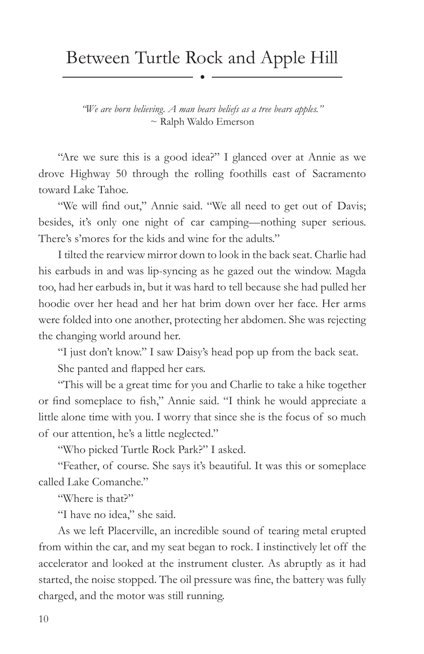## Between Turtle Rock and Apple Hill

*"We are born believing. A man bears beliefs as a tree bears apples."* ~ Ralph Waldo Emerson

"Are we sure this is a good idea?" I glanced over at Annie as we drove Highway 50 through the rolling foothills east of Sacramento toward Lake Tahoe.

"We will find out," Annie said. "We all need to get out of Davis; besides, it's only one night of car camping—nothing super serious. There's s'mores for the kids and wine for the adults."

I tilted the rearview mirror down to look in the back seat. Charlie had his earbuds in and was lip-syncing as he gazed out the window. Magda too, had her earbuds in, but it was hard to tell because she had pulled her hoodie over her head and her hat brim down over her face. Her arms were folded into one another, protecting her abdomen. She was rejecting the changing world around her.

"I just don't know." I saw Daisy's head pop up from the back seat.

She panted and flapped her ears.

"This will be a great time for you and Charlie to take a hike together or find someplace to fish," Annie said. "I think he would appreciate a little alone time with you. I worry that since she is the focus of so much of our attention, he's a little neglected."

"Who picked Turtle Rock Park?" I asked.

"Feather, of course. She says it's beautiful. It was this or someplace called Lake Comanche."

"Where is that?"

"I have no idea," she said.

As we left Placerville, an incredible sound of tearing metal erupted from within the car, and my seat began to rock. I instinctively let off the accelerator and looked at the instrument cluster. As abruptly as it had started, the noise stopped. The oil pressure was fine, the battery was fully charged, and the motor was still running.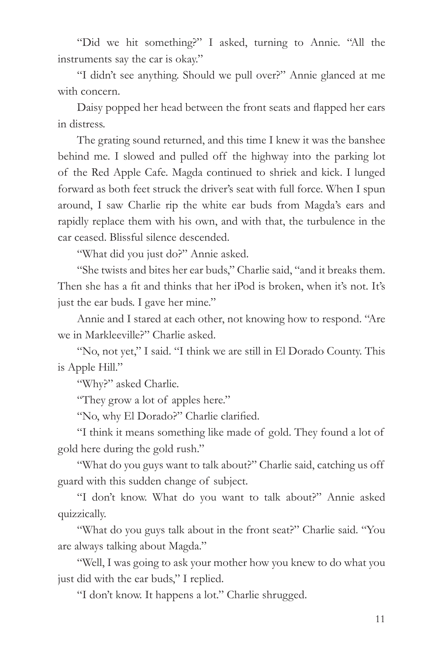"Did we hit something?" I asked, turning to Annie. "All the instruments say the car is okay."

"I didn't see anything. Should we pull over?" Annie glanced at me with concern.

Daisy popped her head between the front seats and flapped her ears in distress.

The grating sound returned, and this time I knew it was the banshee behind me. I slowed and pulled off the highway into the parking lot of the Red Apple Cafe. Magda continued to shriek and kick. I lunged forward as both feet struck the driver's seat with full force. When I spun around, I saw Charlie rip the white ear buds from Magda's ears and rapidly replace them with his own, and with that, the turbulence in the car ceased. Blissful silence descended.

"What did you just do?" Annie asked.

"She twists and bites her ear buds," Charlie said, "and it breaks them. Then she has a fit and thinks that her iPod is broken, when it's not. It's just the ear buds. I gave her mine."

Annie and I stared at each other, not knowing how to respond. "Are we in Markleeville?" Charlie asked.

"No, not yet," I said. "I think we are still in El Dorado County. This is Apple Hill."

"Why?" asked Charlie.

"They grow a lot of apples here."

"No, why El Dorado?" Charlie clarified.

"I think it means something like made of gold. They found a lot of gold here during the gold rush."

"What do you guys want to talk about?" Charlie said, catching us off guard with this sudden change of subject.

"I don't know. What do you want to talk about?" Annie asked quizzically.

"What do you guys talk about in the front seat?" Charlie said. "You are always talking about Magda."

"Well, I was going to ask your mother how you knew to do what you just did with the ear buds," I replied.

"I don't know. It happens a lot." Charlie shrugged.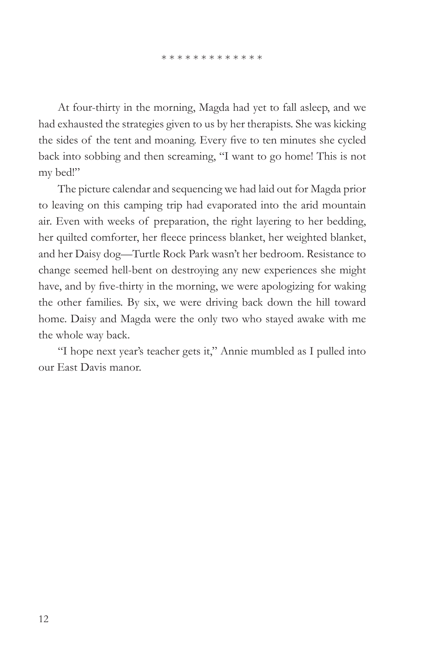At four-thirty in the morning, Magda had yet to fall asleep, and we had exhausted the strategies given to us by her therapists. She was kicking the sides of the tent and moaning. Every five to ten minutes she cycled back into sobbing and then screaming, "I want to go home! This is not my bed!"

The picture calendar and sequencing we had laid out for Magda prior to leaving on this camping trip had evaporated into the arid mountain air. Even with weeks of preparation, the right layering to her bedding, her quilted comforter, her fleece princess blanket, her weighted blanket, and her Daisy dog—Turtle Rock Park wasn't her bedroom. Resistance to change seemed hell-bent on destroying any new experiences she might have, and by five-thirty in the morning, we were apologizing for waking the other families. By six, we were driving back down the hill toward home. Daisy and Magda were the only two who stayed awake with me the whole way back.

"I hope next year's teacher gets it," Annie mumbled as I pulled into our East Davis manor.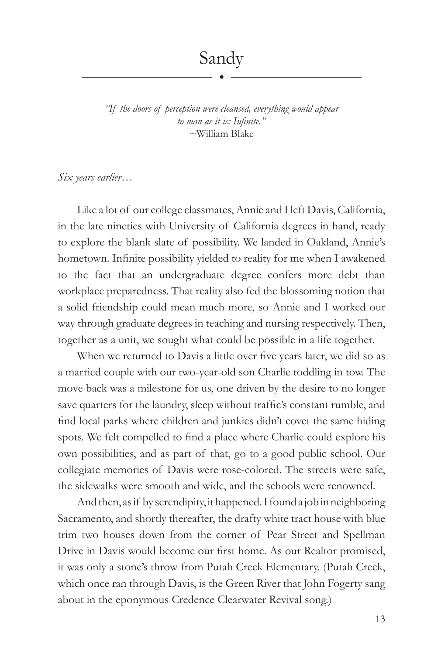*"If the doors of perception were cleansed, everything would appear to man as it is: Infinite."* ~William Blake

*Six years earlier…*

Like a lot of our college classmates, Annie and I left Davis, California, in the late nineties with University of California degrees in hand, ready to explore the blank slate of possibility. We landed in Oakland, Annie's hometown. Infinite possibility yielded to reality for me when I awakened to the fact that an undergraduate degree confers more debt than workplace preparedness. That reality also fed the blossoming notion that a solid friendship could mean much more, so Annie and I worked our way through graduate degrees in teaching and nursing respectively. Then, together as a unit, we sought what could be possible in a life together.

When we returned to Davis a little over five years later, we did so as a married couple with our two-year-old son Charlie toddling in tow. The move back was a milestone for us, one driven by the desire to no longer save quarters for the laundry, sleep without traffic's constant rumble, and find local parks where children and junkies didn't covet the same hiding spots. We felt compelled to find a place where Charlie could explore his own possibilities, and as part of that, go to a good public school. Our collegiate memories of Davis were rose-colored. The streets were safe, the sidewalks were smooth and wide, and the schools were renowned.

And then, as if by serendipity, it happened. I found a job in neighboring Sacramento, and shortly thereafter, the drafty white tract house with blue trim two houses down from the corner of Pear Street and Spellman Drive in Davis would become our first home. As our Realtor promised, it was only a stone's throw from Putah Creek Elementary. (Putah Creek, which once ran through Davis, is the Green River that John Fogerty sang about in the eponymous Credence Clearwater Revival song.)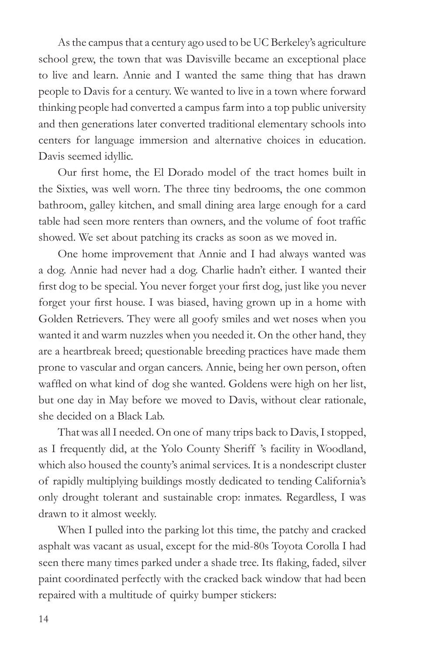As the campus that a century ago used to be UC Berkeley's agriculture school grew, the town that was Davisville became an exceptional place to live and learn. Annie and I wanted the same thing that has drawn people to Davis for a century. We wanted to live in a town where forward thinking people had converted a campus farm into a top public university and then generations later converted traditional elementary schools into centers for language immersion and alternative choices in education. Davis seemed idyllic.

Our first home, the El Dorado model of the tract homes built in the Sixties, was well worn. The three tiny bedrooms, the one common bathroom, galley kitchen, and small dining area large enough for a card table had seen more renters than owners, and the volume of foot traffic showed. We set about patching its cracks as soon as we moved in.

One home improvement that Annie and I had always wanted was a dog. Annie had never had a dog. Charlie hadn't either. I wanted their first dog to be special. You never forget your first dog, just like you never forget your first house. I was biased, having grown up in a home with Golden Retrievers. They were all goofy smiles and wet noses when you wanted it and warm nuzzles when you needed it. On the other hand, they are a heartbreak breed; questionable breeding practices have made them prone to vascular and organ cancers. Annie, being her own person, often waffled on what kind of dog she wanted. Goldens were high on her list, but one day in May before we moved to Davis, without clear rationale, she decided on a Black Lab.

That was all I needed. On one of many trips back to Davis, I stopped, as I frequently did, at the Yolo County Sheriff 's facility in Woodland, which also housed the county's animal services. It is a nondescript cluster of rapidly multiplying buildings mostly dedicated to tending California's only drought tolerant and sustainable crop: inmates. Regardless, I was drawn to it almost weekly.

When I pulled into the parking lot this time, the patchy and cracked asphalt was vacant as usual, except for the mid-80s Toyota Corolla I had seen there many times parked under a shade tree. Its flaking, faded, silver paint coordinated perfectly with the cracked back window that had been repaired with a multitude of quirky bumper stickers: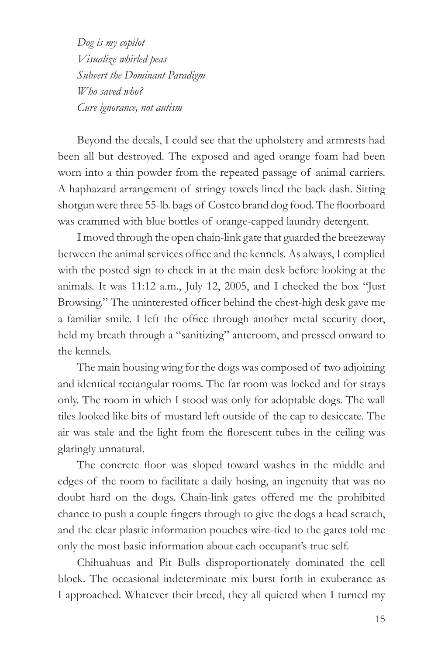*Dog is my copilot Visualize whirled peas Subvert the Dominant Paradigm Who saved who? Cure ignorance, not autism*

Beyond the decals, I could see that the upholstery and armrests had been all but destroyed. The exposed and aged orange foam had been worn into a thin powder from the repeated passage of animal carriers. A haphazard arrangement of stringy towels lined the back dash. Sitting shotgun were three 55-lb. bags of Costco brand dog food. The floorboard was crammed with blue bottles of orange-capped laundry detergent.

I moved through the open chain-link gate that guarded the breezeway between the animal services office and the kennels. As always, I complied with the posted sign to check in at the main desk before looking at the animals. It was 11:12 a.m., July 12, 2005, and I checked the box "Just Browsing." The uninterested officer behind the chest-high desk gave me a familiar smile. I left the office through another metal security door, held my breath through a "sanitizing" anteroom, and pressed onward to the kennels.

The main housing wing for the dogs was composed of two adjoining and identical rectangular rooms. The far room was locked and for strays only. The room in which I stood was only for adoptable dogs. The wall tiles looked like bits of mustard left outside of the cap to desiccate. The air was stale and the light from the florescent tubes in the ceiling was glaringly unnatural.

The concrete floor was sloped toward washes in the middle and edges of the room to facilitate a daily hosing, an ingenuity that was no doubt hard on the dogs. Chain-link gates offered me the prohibited chance to push a couple fingers through to give the dogs a head scratch, and the clear plastic information pouches wire-tied to the gates told me only the most basic information about each occupant's true self.

Chihuahuas and Pit Bulls disproportionately dominated the cell block. The occasional indeterminate mix burst forth in exuberance as I approached. Whatever their breed, they all quieted when I turned my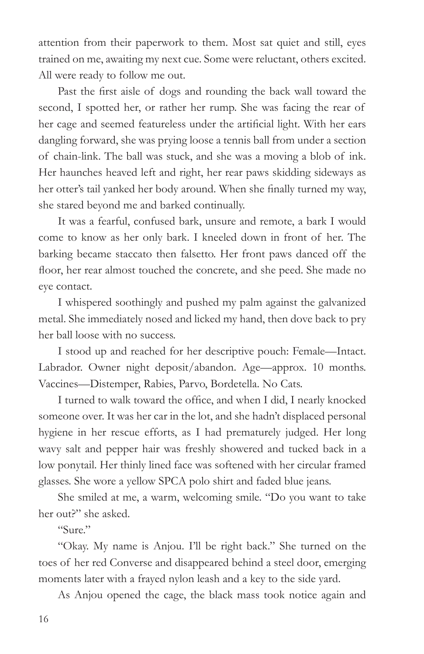attention from their paperwork to them. Most sat quiet and still, eyes trained on me, awaiting my next cue. Some were reluctant, others excited. All were ready to follow me out.

Past the first aisle of dogs and rounding the back wall toward the second, I spotted her, or rather her rump. She was facing the rear of her cage and seemed featureless under the artificial light. With her ears dangling forward, she was prying loose a tennis ball from under a section of chain-link. The ball was stuck, and she was a moving a blob of ink. Her haunches heaved left and right, her rear paws skidding sideways as her otter's tail yanked her body around. When she finally turned my way, she stared beyond me and barked continually.

It was a fearful, confused bark, unsure and remote, a bark I would come to know as her only bark. I kneeled down in front of her. The barking became staccato then falsetto. Her front paws danced off the floor, her rear almost touched the concrete, and she peed. She made no eye contact.

I whispered soothingly and pushed my palm against the galvanized metal. She immediately nosed and licked my hand, then dove back to pry her ball loose with no success.

I stood up and reached for her descriptive pouch: Female—Intact. Labrador. Owner night deposit/abandon. Age—approx. 10 months. Vaccines—Distemper, Rabies, Parvo, Bordetella. No Cats.

I turned to walk toward the office, and when I did, I nearly knocked someone over. It was her car in the lot, and she hadn't displaced personal hygiene in her rescue efforts, as I had prematurely judged. Her long wavy salt and pepper hair was freshly showered and tucked back in a low ponytail. Her thinly lined face was softened with her circular framed glasses. She wore a yellow SPCA polo shirt and faded blue jeans.

She smiled at me, a warm, welcoming smile. "Do you want to take her out?" she asked.

"Sure."

"Okay. My name is Anjou. I'll be right back." She turned on the toes of her red Converse and disappeared behind a steel door, emerging moments later with a frayed nylon leash and a key to the side yard.

As Anjou opened the cage, the black mass took notice again and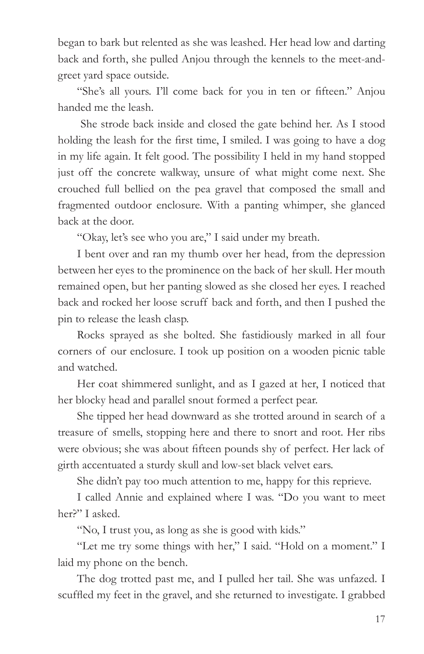began to bark but relented as she was leashed. Her head low and darting back and forth, she pulled Anjou through the kennels to the meet-andgreet yard space outside.

"She's all yours. I'll come back for you in ten or fifteen." Anjou handed me the leash.

 She strode back inside and closed the gate behind her. As I stood holding the leash for the first time, I smiled. I was going to have a dog in my life again. It felt good. The possibility I held in my hand stopped just off the concrete walkway, unsure of what might come next. She crouched full bellied on the pea gravel that composed the small and fragmented outdoor enclosure. With a panting whimper, she glanced back at the door.

"Okay, let's see who you are," I said under my breath.

I bent over and ran my thumb over her head, from the depression between her eyes to the prominence on the back of her skull. Her mouth remained open, but her panting slowed as she closed her eyes. I reached back and rocked her loose scruff back and forth, and then I pushed the pin to release the leash clasp.

Rocks sprayed as she bolted. She fastidiously marked in all four corners of our enclosure. I took up position on a wooden picnic table and watched.

Her coat shimmered sunlight, and as I gazed at her, I noticed that her blocky head and parallel snout formed a perfect pear.

She tipped her head downward as she trotted around in search of a treasure of smells, stopping here and there to snort and root. Her ribs were obvious; she was about fifteen pounds shy of perfect. Her lack of girth accentuated a sturdy skull and low-set black velvet ears.

She didn't pay too much attention to me, happy for this reprieve.

I called Annie and explained where I was. "Do you want to meet her?" I asked.

"No, I trust you, as long as she is good with kids."

"Let me try some things with her," I said. "Hold on a moment." I laid my phone on the bench.

The dog trotted past me, and I pulled her tail. She was unfazed. I scuffled my feet in the gravel, and she returned to investigate. I grabbed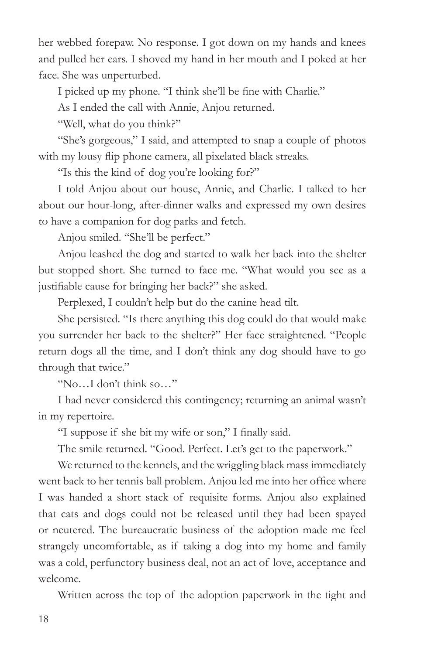her webbed forepaw. No response. I got down on my hands and knees and pulled her ears. I shoved my hand in her mouth and I poked at her face. She was unperturbed.

I picked up my phone. "I think she'll be fine with Charlie."

As I ended the call with Annie, Anjou returned.

"Well, what do you think?"

"She's gorgeous," I said, and attempted to snap a couple of photos with my lousy flip phone camera, all pixelated black streaks.

"Is this the kind of dog you're looking for?"

I told Anjou about our house, Annie, and Charlie. I talked to her about our hour-long, after-dinner walks and expressed my own desires to have a companion for dog parks and fetch.

Anjou smiled. "She'll be perfect."

Anjou leashed the dog and started to walk her back into the shelter but stopped short. She turned to face me. "What would you see as a justifiable cause for bringing her back?" she asked.

Perplexed, I couldn't help but do the canine head tilt.

She persisted. "Is there anything this dog could do that would make you surrender her back to the shelter?" Her face straightened. "People return dogs all the time, and I don't think any dog should have to go through that twice."

"No…I don't think so…"

I had never considered this contingency; returning an animal wasn't in my repertoire.

"I suppose if she bit my wife or son," I finally said.

The smile returned. "Good. Perfect. Let's get to the paperwork."

We returned to the kennels, and the wriggling black mass immediately went back to her tennis ball problem. Anjou led me into her office where I was handed a short stack of requisite forms. Anjou also explained that cats and dogs could not be released until they had been spayed or neutered. The bureaucratic business of the adoption made me feel strangely uncomfortable, as if taking a dog into my home and family was a cold, perfunctory business deal, not an act of love, acceptance and welcome.

Written across the top of the adoption paperwork in the tight and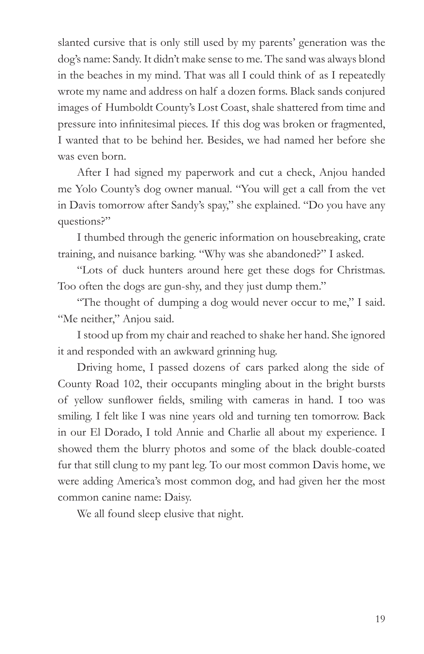slanted cursive that is only still used by my parents' generation was the dog's name: Sandy. It didn't make sense to me. The sand was always blond in the beaches in my mind. That was all I could think of as I repeatedly wrote my name and address on half a dozen forms. Black sands conjured images of Humboldt County's Lost Coast, shale shattered from time and pressure into infinitesimal pieces. If this dog was broken or fragmented, I wanted that to be behind her. Besides, we had named her before she was even born.

After I had signed my paperwork and cut a check, Anjou handed me Yolo County's dog owner manual. "You will get a call from the vet in Davis tomorrow after Sandy's spay," she explained. "Do you have any questions?"

I thumbed through the generic information on housebreaking, crate training, and nuisance barking. "Why was she abandoned?" I asked.

"Lots of duck hunters around here get these dogs for Christmas. Too often the dogs are gun-shy, and they just dump them."

"The thought of dumping a dog would never occur to me," I said. "Me neither," Anjou said.

I stood up from my chair and reached to shake her hand. She ignored it and responded with an awkward grinning hug.

Driving home, I passed dozens of cars parked along the side of County Road 102, their occupants mingling about in the bright bursts of yellow sunflower fields, smiling with cameras in hand. I too was smiling. I felt like I was nine years old and turning ten tomorrow. Back in our El Dorado, I told Annie and Charlie all about my experience. I showed them the blurry photos and some of the black double-coated fur that still clung to my pant leg. To our most common Davis home, we were adding America's most common dog, and had given her the most common canine name: Daisy.

We all found sleep elusive that night.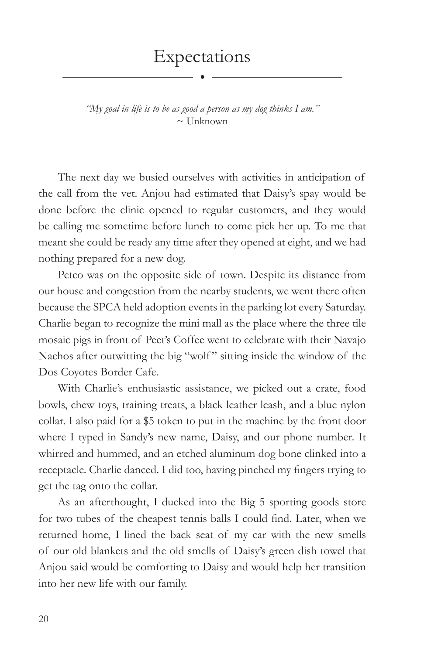*"My goal in life is to be as good a person as my dog thinks I am."*  $\sim$  Unknown

The next day we busied ourselves with activities in anticipation of the call from the vet. Anjou had estimated that Daisy's spay would be done before the clinic opened to regular customers, and they would be calling me sometime before lunch to come pick her up. To me that meant she could be ready any time after they opened at eight, and we had nothing prepared for a new dog.

Petco was on the opposite side of town. Despite its distance from our house and congestion from the nearby students, we went there often because the SPCA held adoption events in the parking lot every Saturday. Charlie began to recognize the mini mall as the place where the three tile mosaic pigs in front of Peet's Coffee went to celebrate with their Navajo Nachos after outwitting the big "wolf" sitting inside the window of the Dos Coyotes Border Cafe.

With Charlie's enthusiastic assistance, we picked out a crate, food bowls, chew toys, training treats, a black leather leash, and a blue nylon collar. I also paid for a \$5 token to put in the machine by the front door where I typed in Sandy's new name, Daisy, and our phone number. It whirred and hummed, and an etched aluminum dog bone clinked into a receptacle. Charlie danced. I did too, having pinched my fingers trying to get the tag onto the collar.

As an afterthought, I ducked into the Big 5 sporting goods store for two tubes of the cheapest tennis balls I could find. Later, when we returned home, I lined the back seat of my car with the new smells of our old blankets and the old smells of Daisy's green dish towel that Anjou said would be comforting to Daisy and would help her transition into her new life with our family.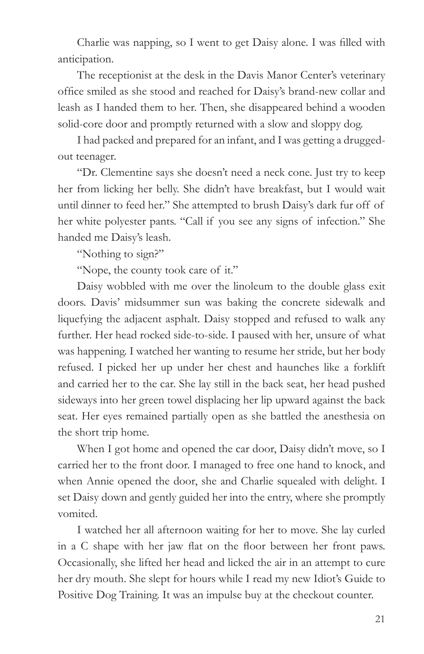Charlie was napping, so I went to get Daisy alone. I was filled with anticipation.

The receptionist at the desk in the Davis Manor Center's veterinary office smiled as she stood and reached for Daisy's brand-new collar and leash as I handed them to her. Then, she disappeared behind a wooden solid-core door and promptly returned with a slow and sloppy dog.

I had packed and prepared for an infant, and I was getting a druggedout teenager.

"Dr. Clementine says she doesn't need a neck cone. Just try to keep her from licking her belly. She didn't have breakfast, but I would wait until dinner to feed her." She attempted to brush Daisy's dark fur off of her white polyester pants. "Call if you see any signs of infection." She handed me Daisy's leash.

"Nothing to sign?"

"Nope, the county took care of it."

Daisy wobbled with me over the linoleum to the double glass exit doors. Davis' midsummer sun was baking the concrete sidewalk and liquefying the adjacent asphalt. Daisy stopped and refused to walk any further. Her head rocked side-to-side. I paused with her, unsure of what was happening. I watched her wanting to resume her stride, but her body refused. I picked her up under her chest and haunches like a forklift and carried her to the car. She lay still in the back seat, her head pushed sideways into her green towel displacing her lip upward against the back seat. Her eyes remained partially open as she battled the anesthesia on the short trip home.

When I got home and opened the car door, Daisy didn't move, so I carried her to the front door. I managed to free one hand to knock, and when Annie opened the door, she and Charlie squealed with delight. I set Daisy down and gently guided her into the entry, where she promptly vomited.

I watched her all afternoon waiting for her to move. She lay curled in a C shape with her jaw flat on the floor between her front paws. Occasionally, she lifted her head and licked the air in an attempt to cure her dry mouth. She slept for hours while I read my new Idiot's Guide to Positive Dog Training. It was an impulse buy at the checkout counter.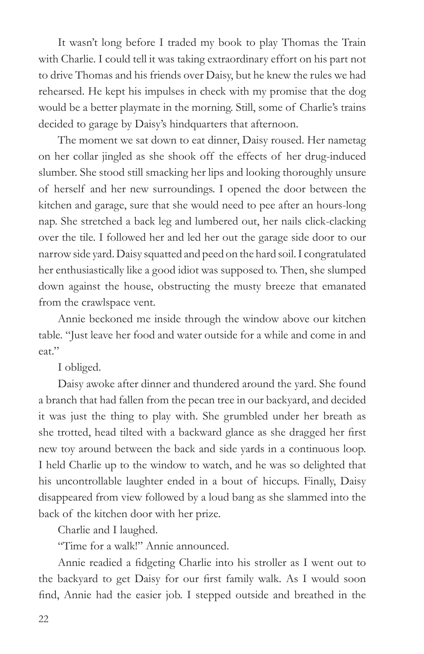It wasn't long before I traded my book to play Thomas the Train with Charlie. I could tell it was taking extraordinary effort on his part not to drive Thomas and his friends over Daisy, but he knew the rules we had rehearsed. He kept his impulses in check with my promise that the dog would be a better playmate in the morning. Still, some of Charlie's trains decided to garage by Daisy's hindquarters that afternoon.

The moment we sat down to eat dinner, Daisy roused. Her nametag on her collar jingled as she shook off the effects of her drug-induced slumber. She stood still smacking her lips and looking thoroughly unsure of herself and her new surroundings. I opened the door between the kitchen and garage, sure that she would need to pee after an hours-long nap. She stretched a back leg and lumbered out, her nails click-clacking over the tile. I followed her and led her out the garage side door to our narrow side yard. Daisy squatted and peed on the hard soil. I congratulated her enthusiastically like a good idiot was supposed to. Then, she slumped down against the house, obstructing the musty breeze that emanated from the crawlspace vent.

Annie beckoned me inside through the window above our kitchen table. "Just leave her food and water outside for a while and come in and eat."

I obliged.

Daisy awoke after dinner and thundered around the yard. She found a branch that had fallen from the pecan tree in our backyard, and decided it was just the thing to play with. She grumbled under her breath as she trotted, head tilted with a backward glance as she dragged her first new toy around between the back and side yards in a continuous loop. I held Charlie up to the window to watch, and he was so delighted that his uncontrollable laughter ended in a bout of hiccups. Finally, Daisy disappeared from view followed by a loud bang as she slammed into the back of the kitchen door with her prize.

Charlie and I laughed.

"Time for a walk!" Annie announced.

Annie readied a fidgeting Charlie into his stroller as I went out to the backyard to get Daisy for our first family walk. As I would soon find, Annie had the easier job. I stepped outside and breathed in the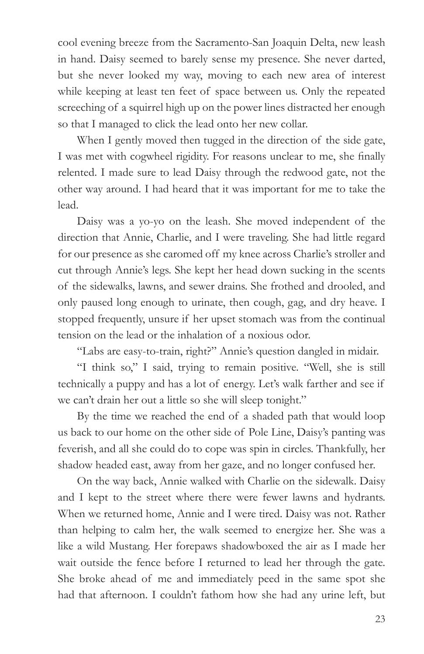cool evening breeze from the Sacramento-San Joaquin Delta, new leash in hand. Daisy seemed to barely sense my presence. She never darted, but she never looked my way, moving to each new area of interest while keeping at least ten feet of space between us. Only the repeated screeching of a squirrel high up on the power lines distracted her enough so that I managed to click the lead onto her new collar.

When I gently moved then tugged in the direction of the side gate, I was met with cogwheel rigidity. For reasons unclear to me, she finally relented. I made sure to lead Daisy through the redwood gate, not the other way around. I had heard that it was important for me to take the lead.

Daisy was a yo-yo on the leash. She moved independent of the direction that Annie, Charlie, and I were traveling. She had little regard for our presence as she caromed off my knee across Charlie's stroller and cut through Annie's legs. She kept her head down sucking in the scents of the sidewalks, lawns, and sewer drains. She frothed and drooled, and only paused long enough to urinate, then cough, gag, and dry heave. I stopped frequently, unsure if her upset stomach was from the continual tension on the lead or the inhalation of a noxious odor.

"Labs are easy-to-train, right?" Annie's question dangled in midair.

"I think so," I said, trying to remain positive. "Well, she is still technically a puppy and has a lot of energy. Let's walk farther and see if we can't drain her out a little so she will sleep tonight."

By the time we reached the end of a shaded path that would loop us back to our home on the other side of Pole Line, Daisy's panting was feverish, and all she could do to cope was spin in circles. Thankfully, her shadow headed east, away from her gaze, and no longer confused her.

On the way back, Annie walked with Charlie on the sidewalk. Daisy and I kept to the street where there were fewer lawns and hydrants. When we returned home, Annie and I were tired. Daisy was not. Rather than helping to calm her, the walk seemed to energize her. She was a like a wild Mustang. Her forepaws shadowboxed the air as I made her wait outside the fence before I returned to lead her through the gate. She broke ahead of me and immediately peed in the same spot she had that afternoon. I couldn't fathom how she had any urine left, but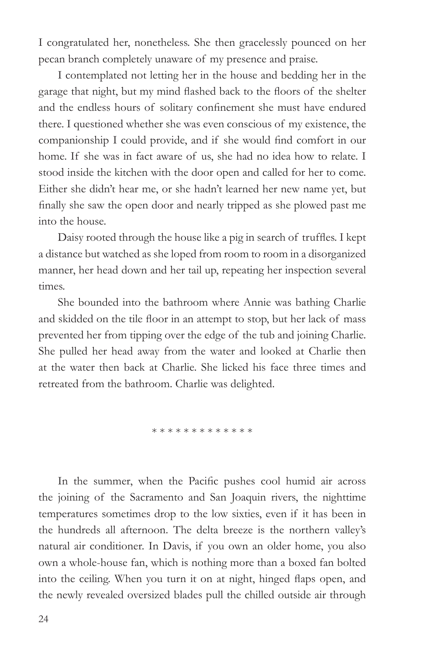I congratulated her, nonetheless. She then gracelessly pounced on her pecan branch completely unaware of my presence and praise.

I contemplated not letting her in the house and bedding her in the garage that night, but my mind flashed back to the floors of the shelter and the endless hours of solitary confinement she must have endured there. I questioned whether she was even conscious of my existence, the companionship I could provide, and if she would find comfort in our home. If she was in fact aware of us, she had no idea how to relate. I stood inside the kitchen with the door open and called for her to come. Either she didn't hear me, or she hadn't learned her new name yet, but finally she saw the open door and nearly tripped as she plowed past me into the house.

Daisy rooted through the house like a pig in search of truffles. I kept a distance but watched as she loped from room to room in a disorganized manner, her head down and her tail up, repeating her inspection several times.

She bounded into the bathroom where Annie was bathing Charlie and skidded on the tile floor in an attempt to stop, but her lack of mass prevented her from tipping over the edge of the tub and joining Charlie. She pulled her head away from the water and looked at Charlie then at the water then back at Charlie. She licked his face three times and retreated from the bathroom. Charlie was delighted.

\* \* \* \* \* \* \* \* \* \* \* \*

In the summer, when the Pacific pushes cool humid air across the joining of the Sacramento and San Joaquin rivers, the nighttime temperatures sometimes drop to the low sixties, even if it has been in the hundreds all afternoon. The delta breeze is the northern valley's natural air conditioner. In Davis, if you own an older home, you also own a whole-house fan, which is nothing more than a boxed fan bolted into the ceiling. When you turn it on at night, hinged flaps open, and the newly revealed oversized blades pull the chilled outside air through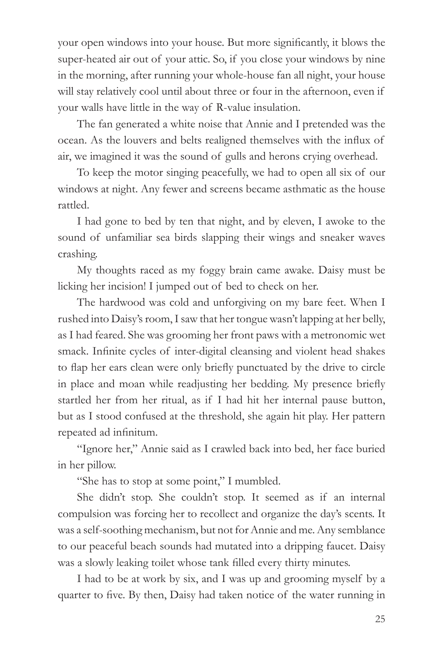your open windows into your house. But more significantly, it blows the super-heated air out of your attic. So, if you close your windows by nine in the morning, after running your whole-house fan all night, your house will stay relatively cool until about three or four in the afternoon, even if your walls have little in the way of R-value insulation.

The fan generated a white noise that Annie and I pretended was the ocean. As the louvers and belts realigned themselves with the influx of air, we imagined it was the sound of gulls and herons crying overhead.

To keep the motor singing peacefully, we had to open all six of our windows at night. Any fewer and screens became asthmatic as the house rattled.

I had gone to bed by ten that night, and by eleven, I awoke to the sound of unfamiliar sea birds slapping their wings and sneaker waves crashing.

My thoughts raced as my foggy brain came awake. Daisy must be licking her incision! I jumped out of bed to check on her.

The hardwood was cold and unforgiving on my bare feet. When I rushed into Daisy's room, I saw that her tongue wasn't lapping at her belly, as I had feared. She was grooming her front paws with a metronomic wet smack. Infinite cycles of inter-digital cleansing and violent head shakes to flap her ears clean were only briefly punctuated by the drive to circle in place and moan while readjusting her bedding. My presence briefly startled her from her ritual, as if I had hit her internal pause button, but as I stood confused at the threshold, she again hit play. Her pattern repeated ad infinitum.

"Ignore her," Annie said as I crawled back into bed, her face buried in her pillow.

"She has to stop at some point," I mumbled.

She didn't stop. She couldn't stop. It seemed as if an internal compulsion was forcing her to recollect and organize the day's scents. It was a self-soothing mechanism, but not for Annie and me. Any semblance to our peaceful beach sounds had mutated into a dripping faucet. Daisy was a slowly leaking toilet whose tank filled every thirty minutes.

I had to be at work by six, and I was up and grooming myself by a quarter to five. By then, Daisy had taken notice of the water running in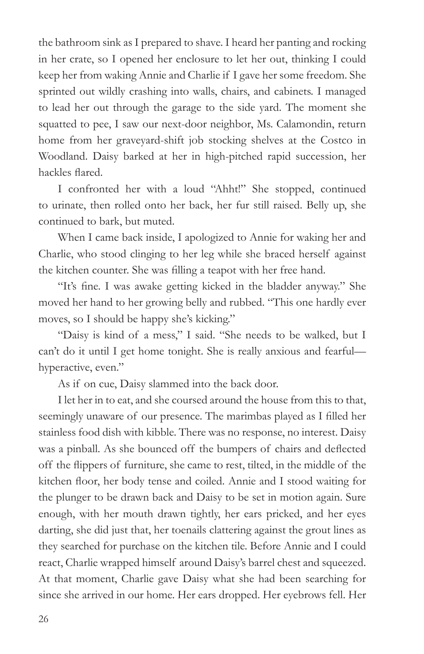the bathroom sink as I prepared to shave. I heard her panting and rocking in her crate, so I opened her enclosure to let her out, thinking I could keep her from waking Annie and Charlie if I gave her some freedom. She sprinted out wildly crashing into walls, chairs, and cabinets. I managed to lead her out through the garage to the side yard. The moment she squatted to pee, I saw our next-door neighbor, Ms. Calamondin, return home from her graveyard-shift job stocking shelves at the Costco in Woodland. Daisy barked at her in high-pitched rapid succession, her hackles flared.

I confronted her with a loud "Ahht!" She stopped, continued to urinate, then rolled onto her back, her fur still raised. Belly up, she continued to bark, but muted.

When I came back inside, I apologized to Annie for waking her and Charlie, who stood clinging to her leg while she braced herself against the kitchen counter. She was filling a teapot with her free hand.

"It's fine. I was awake getting kicked in the bladder anyway." She moved her hand to her growing belly and rubbed. "This one hardly ever moves, so I should be happy she's kicking."

"Daisy is kind of a mess," I said. "She needs to be walked, but I can't do it until I get home tonight. She is really anxious and fearful hyperactive, even."

As if on cue, Daisy slammed into the back door.

I let her in to eat, and she coursed around the house from this to that, seemingly unaware of our presence. The marimbas played as I filled her stainless food dish with kibble. There was no response, no interest. Daisy was a pinball. As she bounced off the bumpers of chairs and deflected off the flippers of furniture, she came to rest, tilted, in the middle of the kitchen floor, her body tense and coiled. Annie and I stood waiting for the plunger to be drawn back and Daisy to be set in motion again. Sure enough, with her mouth drawn tightly, her ears pricked, and her eyes darting, she did just that, her toenails clattering against the grout lines as they searched for purchase on the kitchen tile. Before Annie and I could react, Charlie wrapped himself around Daisy's barrel chest and squeezed. At that moment, Charlie gave Daisy what she had been searching for since she arrived in our home. Her ears dropped. Her eyebrows fell. Her